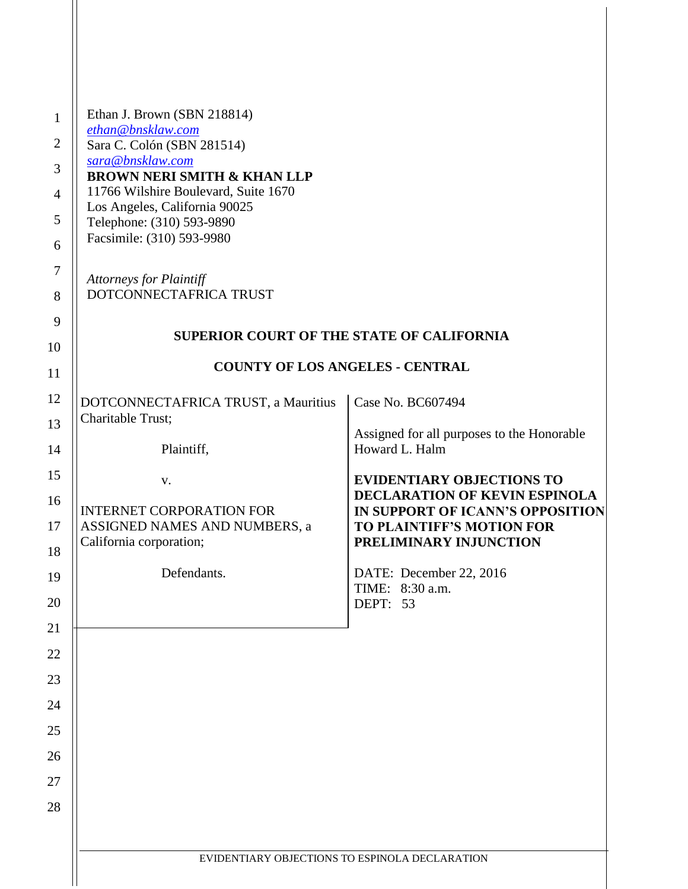| Ethan J. Brown (SBN 218814)<br>ethan@bnsklaw.com<br>Sara C. Colón (SBN 281514)<br>sara@bnsklaw.com<br><b>BROWN NERI SMITH &amp; KHAN LLP</b><br>11766 Wilshire Boulevard, Suite 1670<br>Los Angeles, California 90025<br>Telephone: (310) 593-9890<br>Facsimile: (310) 593-9980<br><b>Attorneys for Plaintiff</b><br>DOTCONNECTAFRICA TRUST |                                                                          |  |  |
|---------------------------------------------------------------------------------------------------------------------------------------------------------------------------------------------------------------------------------------------------------------------------------------------------------------------------------------------|--------------------------------------------------------------------------|--|--|
| <b>SUPERIOR COURT OF THE STATE OF CALIFORNIA</b>                                                                                                                                                                                                                                                                                            |                                                                          |  |  |
| <b>COUNTY OF LOS ANGELES - CENTRAL</b>                                                                                                                                                                                                                                                                                                      |                                                                          |  |  |
| DOTCONNECTAFRICA TRUST, a Mauritius                                                                                                                                                                                                                                                                                                         | Case No. BC607494                                                        |  |  |
| Charitable Trust;                                                                                                                                                                                                                                                                                                                           | Assigned for all purposes to the Honorable                               |  |  |
| Plaintiff,                                                                                                                                                                                                                                                                                                                                  | Howard L. Halm<br><b>EVIDENTIARY OBJECTIONS TO</b>                       |  |  |
| V.                                                                                                                                                                                                                                                                                                                                          | <b>DECLARATION OF KEVIN ESPINOLA</b><br>IN SUPPORT OF ICANN'S OPPOSITION |  |  |
| <b>INTERNET CORPORATION FOR</b><br>ASSIGNED NAMES AND NUMBERS, a<br>California corporation;                                                                                                                                                                                                                                                 | <b>TO PLAINTIFF'S MOTION FOR</b><br>PRELIMINARY INJUNCTION               |  |  |
| Defendants.                                                                                                                                                                                                                                                                                                                                 | DATE: December 22, 2016<br>TIME: 8:30 a.m.                               |  |  |
|                                                                                                                                                                                                                                                                                                                                             | DEPT: 53                                                                 |  |  |
|                                                                                                                                                                                                                                                                                                                                             |                                                                          |  |  |
|                                                                                                                                                                                                                                                                                                                                             |                                                                          |  |  |
|                                                                                                                                                                                                                                                                                                                                             |                                                                          |  |  |
|                                                                                                                                                                                                                                                                                                                                             |                                                                          |  |  |
|                                                                                                                                                                                                                                                                                                                                             |                                                                          |  |  |
|                                                                                                                                                                                                                                                                                                                                             |                                                                          |  |  |
|                                                                                                                                                                                                                                                                                                                                             |                                                                          |  |  |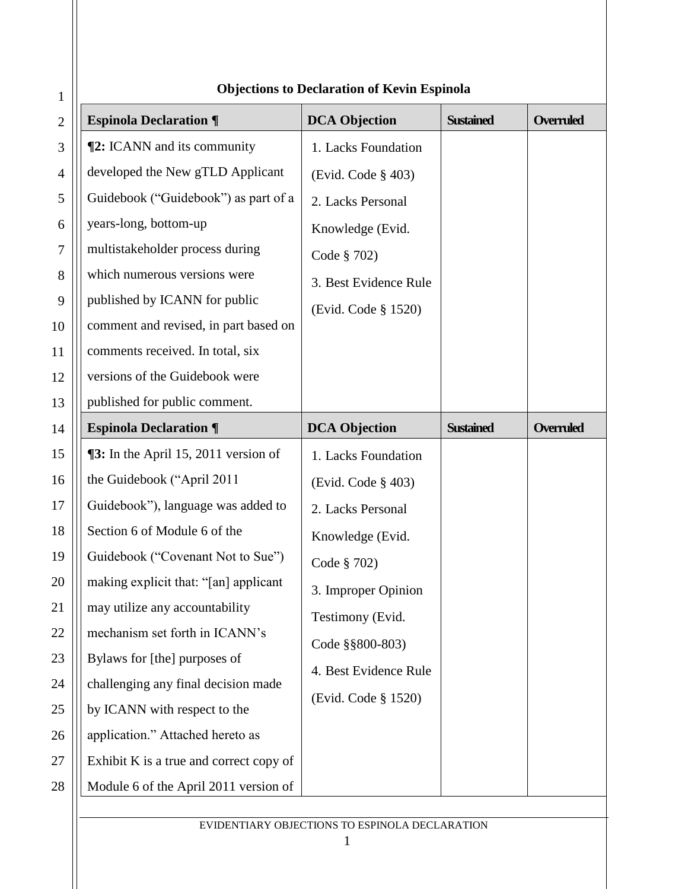| <b>Espinola Declaration ¶</b><br><b>DCA Objection</b><br><b>Sustained</b><br><b>Overruled</b><br>$\mathbf{2}$<br><b>[2: ICANN</b> and its community<br>3<br>1. Lacks Foundation<br>developed the New gTLD Applicant<br>$\overline{4}$<br>(Evid. Code § 403)<br>Guidebook ("Guidebook") as part of a<br>5<br>2. Lacks Personal<br>years-long, bottom-up<br>6<br>Knowledge (Evid.<br>multistakeholder process during<br>$\tau$<br>Code § 702)<br>which numerous versions were<br>8<br>3. Best Evidence Rule<br>published by ICANN for public<br>9<br>(Evid. Code § 1520)<br>comment and revised, in part based on<br>10<br>comments received. In total, six<br>11<br>versions of the Guidebook were<br>12<br>published for public comment.<br>13<br><b>DCA Objection</b><br><b>Overruled</b><br><b>Espinola Declaration ¶</b><br><b>Sustained</b><br>14<br>$\P$ 3: In the April 15, 2011 version of<br>15<br>1. Lacks Foundation<br>the Guidebook ("April 2011<br>16<br>(Evid. Code § 403)<br>17<br>Guidebook"), language was added to<br>2. Lacks Personal<br>Section 6 of Module 6 of the<br>18<br>Knowledge (Evid.<br>Guidebook ("Covenant Not to Sue")<br>19<br>Code § 702)<br>making explicit that: "[an] applicant<br>20<br>3. Improper Opinion<br>may utilize any accountability<br>21<br>Testimony (Evid.<br>mechanism set forth in ICANN's<br>22<br>Code §§800-803)<br>Bylaws for [the] purposes of<br>23<br>4. Best Evidence Rule<br>challenging any final decision made<br>24<br>(Evid. Code § 1520)<br>by ICANN with respect to the<br>25<br>application." Attached hereto as<br>26<br>Exhibit K is a true and correct copy of<br>27<br>Module 6 of the April 2011 version of<br>28 | $\mathbf{1}$ | Objections to Declaration of Kevin Espinola |  |  |  |
|-----------------------------------------------------------------------------------------------------------------------------------------------------------------------------------------------------------------------------------------------------------------------------------------------------------------------------------------------------------------------------------------------------------------------------------------------------------------------------------------------------------------------------------------------------------------------------------------------------------------------------------------------------------------------------------------------------------------------------------------------------------------------------------------------------------------------------------------------------------------------------------------------------------------------------------------------------------------------------------------------------------------------------------------------------------------------------------------------------------------------------------------------------------------------------------------------------------------------------------------------------------------------------------------------------------------------------------------------------------------------------------------------------------------------------------------------------------------------------------------------------------------------------------------------------------------------------------------------------------------------------------------------------------------------------------------------|--------------|---------------------------------------------|--|--|--|
|                                                                                                                                                                                                                                                                                                                                                                                                                                                                                                                                                                                                                                                                                                                                                                                                                                                                                                                                                                                                                                                                                                                                                                                                                                                                                                                                                                                                                                                                                                                                                                                                                                                                                               |              |                                             |  |  |  |
|                                                                                                                                                                                                                                                                                                                                                                                                                                                                                                                                                                                                                                                                                                                                                                                                                                                                                                                                                                                                                                                                                                                                                                                                                                                                                                                                                                                                                                                                                                                                                                                                                                                                                               |              |                                             |  |  |  |
|                                                                                                                                                                                                                                                                                                                                                                                                                                                                                                                                                                                                                                                                                                                                                                                                                                                                                                                                                                                                                                                                                                                                                                                                                                                                                                                                                                                                                                                                                                                                                                                                                                                                                               |              |                                             |  |  |  |
|                                                                                                                                                                                                                                                                                                                                                                                                                                                                                                                                                                                                                                                                                                                                                                                                                                                                                                                                                                                                                                                                                                                                                                                                                                                                                                                                                                                                                                                                                                                                                                                                                                                                                               |              |                                             |  |  |  |
|                                                                                                                                                                                                                                                                                                                                                                                                                                                                                                                                                                                                                                                                                                                                                                                                                                                                                                                                                                                                                                                                                                                                                                                                                                                                                                                                                                                                                                                                                                                                                                                                                                                                                               |              |                                             |  |  |  |
|                                                                                                                                                                                                                                                                                                                                                                                                                                                                                                                                                                                                                                                                                                                                                                                                                                                                                                                                                                                                                                                                                                                                                                                                                                                                                                                                                                                                                                                                                                                                                                                                                                                                                               |              |                                             |  |  |  |
|                                                                                                                                                                                                                                                                                                                                                                                                                                                                                                                                                                                                                                                                                                                                                                                                                                                                                                                                                                                                                                                                                                                                                                                                                                                                                                                                                                                                                                                                                                                                                                                                                                                                                               |              |                                             |  |  |  |
|                                                                                                                                                                                                                                                                                                                                                                                                                                                                                                                                                                                                                                                                                                                                                                                                                                                                                                                                                                                                                                                                                                                                                                                                                                                                                                                                                                                                                                                                                                                                                                                                                                                                                               |              |                                             |  |  |  |
|                                                                                                                                                                                                                                                                                                                                                                                                                                                                                                                                                                                                                                                                                                                                                                                                                                                                                                                                                                                                                                                                                                                                                                                                                                                                                                                                                                                                                                                                                                                                                                                                                                                                                               |              |                                             |  |  |  |
|                                                                                                                                                                                                                                                                                                                                                                                                                                                                                                                                                                                                                                                                                                                                                                                                                                                                                                                                                                                                                                                                                                                                                                                                                                                                                                                                                                                                                                                                                                                                                                                                                                                                                               |              |                                             |  |  |  |
|                                                                                                                                                                                                                                                                                                                                                                                                                                                                                                                                                                                                                                                                                                                                                                                                                                                                                                                                                                                                                                                                                                                                                                                                                                                                                                                                                                                                                                                                                                                                                                                                                                                                                               |              |                                             |  |  |  |
|                                                                                                                                                                                                                                                                                                                                                                                                                                                                                                                                                                                                                                                                                                                                                                                                                                                                                                                                                                                                                                                                                                                                                                                                                                                                                                                                                                                                                                                                                                                                                                                                                                                                                               |              |                                             |  |  |  |
|                                                                                                                                                                                                                                                                                                                                                                                                                                                                                                                                                                                                                                                                                                                                                                                                                                                                                                                                                                                                                                                                                                                                                                                                                                                                                                                                                                                                                                                                                                                                                                                                                                                                                               |              |                                             |  |  |  |
|                                                                                                                                                                                                                                                                                                                                                                                                                                                                                                                                                                                                                                                                                                                                                                                                                                                                                                                                                                                                                                                                                                                                                                                                                                                                                                                                                                                                                                                                                                                                                                                                                                                                                               |              |                                             |  |  |  |
|                                                                                                                                                                                                                                                                                                                                                                                                                                                                                                                                                                                                                                                                                                                                                                                                                                                                                                                                                                                                                                                                                                                                                                                                                                                                                                                                                                                                                                                                                                                                                                                                                                                                                               |              |                                             |  |  |  |
|                                                                                                                                                                                                                                                                                                                                                                                                                                                                                                                                                                                                                                                                                                                                                                                                                                                                                                                                                                                                                                                                                                                                                                                                                                                                                                                                                                                                                                                                                                                                                                                                                                                                                               |              |                                             |  |  |  |
|                                                                                                                                                                                                                                                                                                                                                                                                                                                                                                                                                                                                                                                                                                                                                                                                                                                                                                                                                                                                                                                                                                                                                                                                                                                                                                                                                                                                                                                                                                                                                                                                                                                                                               |              |                                             |  |  |  |
|                                                                                                                                                                                                                                                                                                                                                                                                                                                                                                                                                                                                                                                                                                                                                                                                                                                                                                                                                                                                                                                                                                                                                                                                                                                                                                                                                                                                                                                                                                                                                                                                                                                                                               |              |                                             |  |  |  |
|                                                                                                                                                                                                                                                                                                                                                                                                                                                                                                                                                                                                                                                                                                                                                                                                                                                                                                                                                                                                                                                                                                                                                                                                                                                                                                                                                                                                                                                                                                                                                                                                                                                                                               |              |                                             |  |  |  |
|                                                                                                                                                                                                                                                                                                                                                                                                                                                                                                                                                                                                                                                                                                                                                                                                                                                                                                                                                                                                                                                                                                                                                                                                                                                                                                                                                                                                                                                                                                                                                                                                                                                                                               |              |                                             |  |  |  |
|                                                                                                                                                                                                                                                                                                                                                                                                                                                                                                                                                                                                                                                                                                                                                                                                                                                                                                                                                                                                                                                                                                                                                                                                                                                                                                                                                                                                                                                                                                                                                                                                                                                                                               |              |                                             |  |  |  |
|                                                                                                                                                                                                                                                                                                                                                                                                                                                                                                                                                                                                                                                                                                                                                                                                                                                                                                                                                                                                                                                                                                                                                                                                                                                                                                                                                                                                                                                                                                                                                                                                                                                                                               |              |                                             |  |  |  |
|                                                                                                                                                                                                                                                                                                                                                                                                                                                                                                                                                                                                                                                                                                                                                                                                                                                                                                                                                                                                                                                                                                                                                                                                                                                                                                                                                                                                                                                                                                                                                                                                                                                                                               |              |                                             |  |  |  |
|                                                                                                                                                                                                                                                                                                                                                                                                                                                                                                                                                                                                                                                                                                                                                                                                                                                                                                                                                                                                                                                                                                                                                                                                                                                                                                                                                                                                                                                                                                                                                                                                                                                                                               |              |                                             |  |  |  |
|                                                                                                                                                                                                                                                                                                                                                                                                                                                                                                                                                                                                                                                                                                                                                                                                                                                                                                                                                                                                                                                                                                                                                                                                                                                                                                                                                                                                                                                                                                                                                                                                                                                                                               |              |                                             |  |  |  |
|                                                                                                                                                                                                                                                                                                                                                                                                                                                                                                                                                                                                                                                                                                                                                                                                                                                                                                                                                                                                                                                                                                                                                                                                                                                                                                                                                                                                                                                                                                                                                                                                                                                                                               |              |                                             |  |  |  |
|                                                                                                                                                                                                                                                                                                                                                                                                                                                                                                                                                                                                                                                                                                                                                                                                                                                                                                                                                                                                                                                                                                                                                                                                                                                                                                                                                                                                                                                                                                                                                                                                                                                                                               |              |                                             |  |  |  |

## **Objections to Declaration of Kevin Espinola**

EVIDENTIARY OBJECTIONS TO ESPINOLA DECLARATION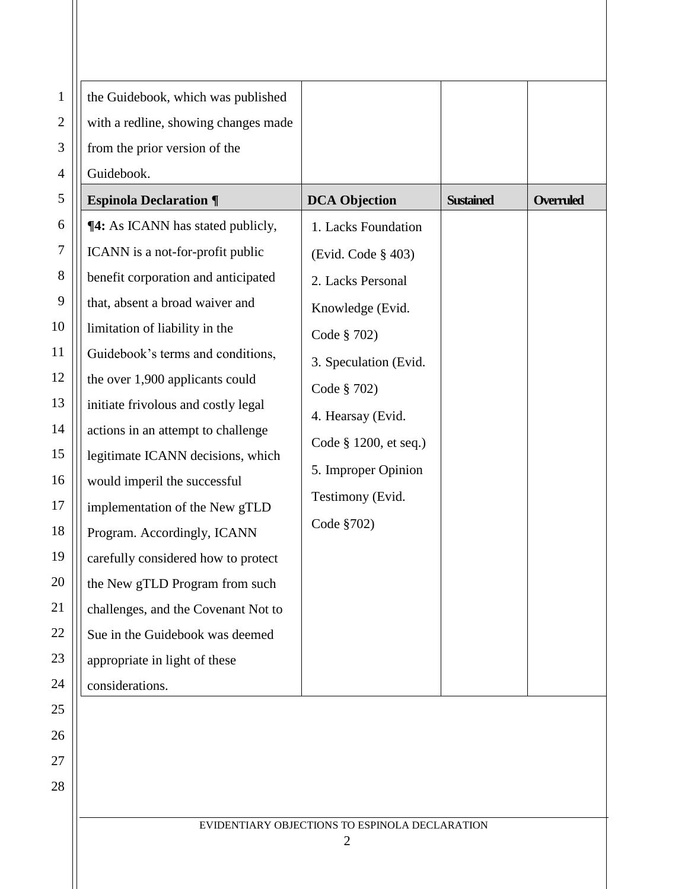| $\mathbf{1}$     | the Guidebook, which was published       |                       |                  |                  |
|------------------|------------------------------------------|-----------------------|------------------|------------------|
| $\mathbf{2}$     | with a redline, showing changes made     |                       |                  |                  |
| 3                | from the prior version of the            |                       |                  |                  |
| 4                | Guidebook.                               |                       |                  |                  |
| 5                | <b>Espinola Declaration ¶</b>            | <b>DCA Objection</b>  | <b>Sustained</b> | <b>Overruled</b> |
| 6                | <b>14:</b> As ICANN has stated publicly, | 1. Lacks Foundation   |                  |                  |
| $\boldsymbol{7}$ | ICANN is a not-for-profit public         | (Evid. Code § 403)    |                  |                  |
| $8\,$            | benefit corporation and anticipated      | 2. Lacks Personal     |                  |                  |
| 9                | that, absent a broad waiver and          | Knowledge (Evid.      |                  |                  |
| 10               | limitation of liability in the           | Code § 702)           |                  |                  |
| 11               | Guidebook's terms and conditions,        | 3. Speculation (Evid. |                  |                  |
| 12               | the over 1,900 applicants could          | Code § 702)           |                  |                  |
| 13               | initiate frivolous and costly legal      | 4. Hearsay (Evid.     |                  |                  |
| 14               | actions in an attempt to challenge       | Code § 1200, et seq.) |                  |                  |
| 15               | legitimate ICANN decisions, which        |                       |                  |                  |
| 16               | would imperil the successful             | 5. Improper Opinion   |                  |                  |
| 17               | implementation of the New gTLD           | Testimony (Evid.      |                  |                  |
| 18               | Program. Accordingly, ICANN              | Code §702)            |                  |                  |
| 19               | carefully considered how to protect      |                       |                  |                  |
| 20               | the New gTLD Program from such           |                       |                  |                  |
| 21               | challenges, and the Covenant Not to      |                       |                  |                  |
| 22               | Sue in the Guidebook was deemed          |                       |                  |                  |
| 23               | appropriate in light of these            |                       |                  |                  |
| 24               | considerations.                          |                       |                  |                  |
| 25               |                                          |                       |                  |                  |
| 26               |                                          |                       |                  |                  |
| 27               |                                          |                       |                  |                  |

28